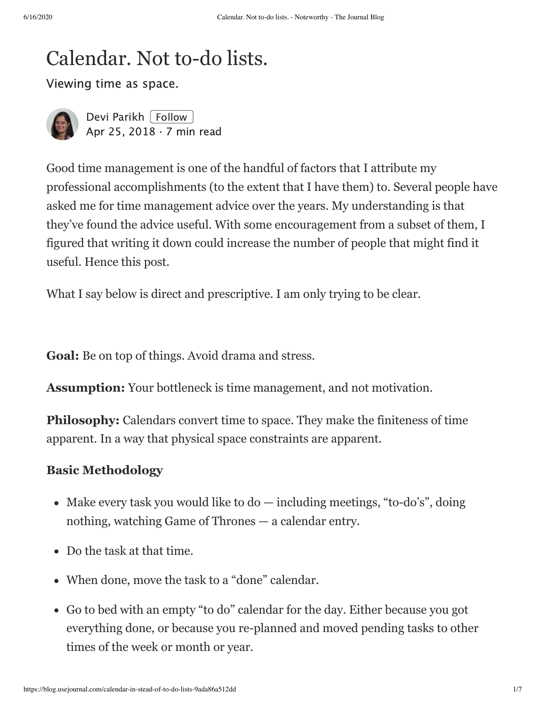# Calendar. Not to-do lists.

Viewing time as space.



[Devi Parikh](https://blog.usejournal.com/@deviparikh?source=post_page-----9ada86a512dd----------------------) [[Follow](https://medium.com/m/signin?operation=register&redirect=https%3A%2F%2Fblog.usejournal.com%2Fcalendar-in-stead-of-to-do-lists-9ada86a512dd&source=-640c3b846666-------------------------follow_byline-)] [Apr 25, 2018](https://blog.usejournal.com/calendar-in-stead-of-to-do-lists-9ada86a512dd?source=post_page-----9ada86a512dd----------------------) · 7 min read

Good time management is one of the handful of factors that I attribute my professional accomplishments (to the extent that I have them) to. Several people have asked me for time management advice over the years. My understanding is that they've found the advice useful. With some encouragement from a subset of them, I figured that writing it down could increase the number of people that might find it useful. Hence this post.

What I say below is direct and prescriptive. I am only trying to be clear.

**Goal:** Be on top of things. Avoid drama and stress.

**Assumption:** Your bottleneck is time management, and not motivation.

**Philosophy:** Calendars convert time to space. They make the finiteness of time apparent. In a way that physical space constraints are apparent.

#### **Basic Methodology**

- Make every task you would like to  $d\sigma$  including meetings, "to-do's", doing nothing, watching Game of Thrones — a calendar entry.
- Do the task at that time.
- When done, move the task to a "done" calendar.
- Go to bed with an empty "to do" calendar for the day. Either because you got everything done, or because you re-planned and moved pending tasks to other times of the week or month or year.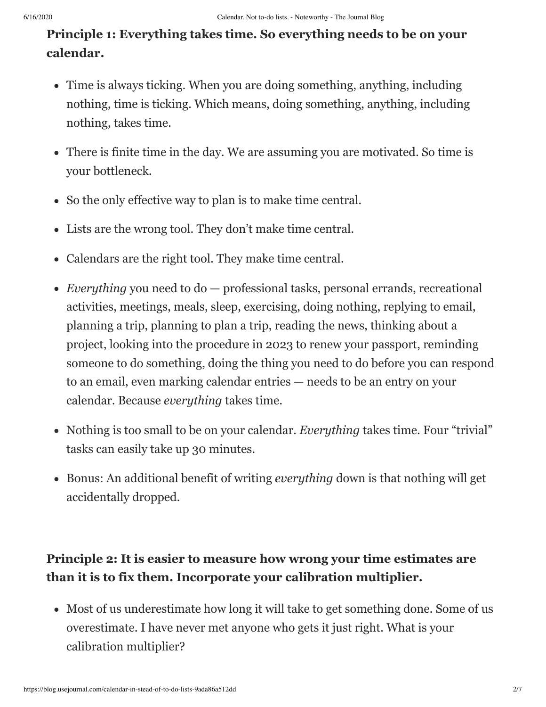# **Principle 1: Everything takes time. So everything needs to be on your calendar.**

- Time is always ticking. When you are doing something, anything, including nothing, time is ticking. Which means, doing something, anything, including nothing, takes time.
- There is finite time in the day. We are assuming you are motivated. So time is your bottleneck.
- So the only effective way to plan is to make time central.
- Lists are the wrong tool. They don't make time central.
- Calendars are the right tool. They make time central.
- *Everything* you need to do professional tasks, personal errands, recreational activities, meetings, meals, sleep, exercising, doing nothing, replying to email, planning a trip, planning to plan a trip, reading the news, thinking about a project, looking into the procedure in 2023 to renew your passport, reminding someone to do something, doing the thing you need to do before you can respond to an email, even marking calendar entries — needs to be an entry on your calendar. Because *everything* takes time.
- Nothing is too small to be on your calendar. *Everything* takes time. Four "trivial" tasks can easily take up 30 minutes.
- Bonus: An additional benefit of writing *everything* down is that nothing will get accidentally dropped.

## **Principle 2: It is easier to measure how wrong your time estimates are than it is to fix them. Incorporate your calibration multiplier.**

Most of us underestimate how long it will take to get something done. Some of us overestimate. I have never met anyone who gets it just right. What is your calibration multiplier?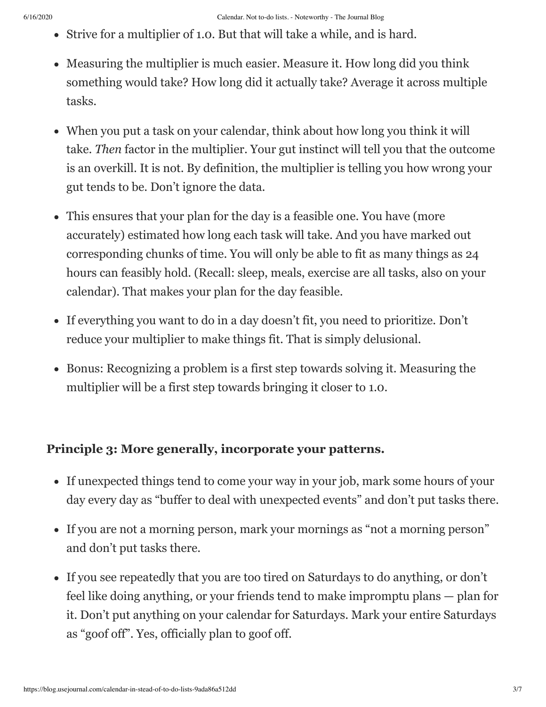- Strive for a multiplier of 1.0. But that will take a while, and is hard.
- Measuring the multiplier is much easier. Measure it. How long did you think something would take? How long did it actually take? Average it across multiple tasks.
- When you put a task on your calendar, think about how long you think it will take. *Then* factor in the multiplier. Your gut instinct will tell you that the outcome is an overkill. It is not. By definition, the multiplier is telling you how wrong your gut tends to be. Don't ignore the data.
- This ensures that your plan for the day is a feasible one. You have (more accurately) estimated how long each task will take. And you have marked out corresponding chunks of time. You will only be able to fit as many things as 24 hours can feasibly hold. (Recall: sleep, meals, exercise are all tasks, also on your calendar). That makes your plan for the day feasible.
- If everything you want to do in a day doesn't fit, you need to prioritize. Don't reduce your multiplier to make things fit. That is simply delusional.
- Bonus: Recognizing a problem is a first step towards solving it. Measuring the multiplier will be a first step towards bringing it closer to 1.0.

#### **Principle 3: More generally, incorporate your patterns.**

- If unexpected things tend to come your way in your job, mark some hours of your day every day as "buffer to deal with unexpected events" and don't put tasks there.
- If you are not a morning person, mark your mornings as "not a morning person" and don't put tasks there.
- If you see repeatedly that you are too tired on Saturdays to do anything, or don't feel like doing anything, or your friends tend to make impromptu plans — plan for it. Don't put anything on your calendar for Saturdays. Mark your entire Saturdays as "goof off". Yes, officially plan to goof off.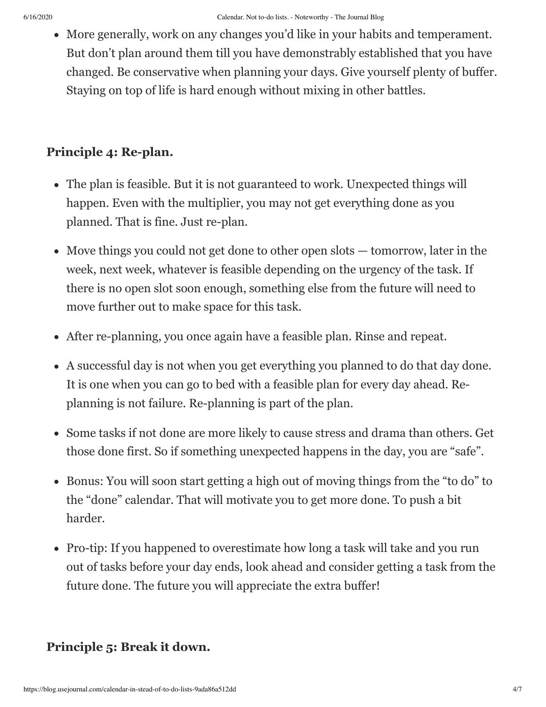More generally, work on any changes you'd like in your habits and temperament. But don't plan around them till you have demonstrably established that you have changed. Be conservative when planning your days. Give yourself plenty of buffer. Staying on top of life is hard enough without mixing in other battles.

### **Principle 4: Re-plan.**

- The plan is feasible. But it is not guaranteed to work. Unexpected things will happen. Even with the multiplier, you may not get everything done as you planned. That is fine. Just re-plan.
- Move things you could not get done to other open slots tomorrow, later in the week, next week, whatever is feasible depending on the urgency of the task. If there is no open slot soon enough, something else from the future will need to move further out to make space for this task.
- After re-planning, you once again have a feasible plan. Rinse and repeat.
- A successful day is not when you get everything you planned to do that day done. It is one when you can go to bed with a feasible plan for every day ahead. Replanning is not failure. Re-planning is part of the plan.
- Some tasks if not done are more likely to cause stress and drama than others. Get those done first. So if something unexpected happens in the day, you are "safe".
- Bonus: You will soon start getting a high out of moving things from the "to do" to the "done" calendar. That will motivate you to get more done. To push a bit harder.
- Pro-tip: If you happened to overestimate how long a task will take and you run out of tasks before your day ends, look ahead and consider getting a task from the future done. The future you will appreciate the extra buffer!

## **Principle 5: Break it down.**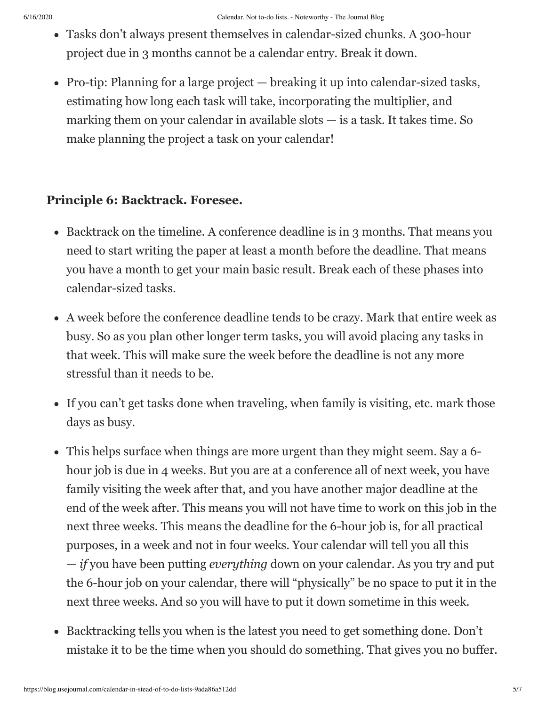- Tasks don't always present themselves in calendar-sized chunks. A 300-hour project due in 3 months cannot be a calendar entry. Break it down.
- Pro-tip: Planning for a large project breaking it up into calendar-sized tasks, estimating how long each task will take, incorporating the multiplier, and marking them on your calendar in available slots — is a task. It takes time. So make planning the project a task on your calendar!

#### **Principle 6: Backtrack. Foresee.**

- Backtrack on the timeline. A conference deadline is in 3 months. That means you need to start writing the paper at least a month before the deadline. That means you have a month to get your main basic result. Break each of these phases into calendar-sized tasks.
- A week before the conference deadline tends to be crazy. Mark that entire week as busy. So as you plan other longer term tasks, you will avoid placing any tasks in that week. This will make sure the week before the deadline is not any more stressful than it needs to be.
- If you can't get tasks done when traveling, when family is visiting, etc. mark those days as busy.
- This helps surface when things are more urgent than they might seem. Say a 6 hour job is due in 4 weeks. But you are at a conference all of next week, you have family visiting the week after that, and you have another major deadline at the end of the week after. This means you will not have time to work on this job in the next three weeks. This means the deadline for the 6-hour job is, for all practical purposes, in a week and not in four weeks. Your calendar will tell you all this — *if* you have been putting *everything* down on your calendar. As you try and put the 6-hour job on your calendar, there will "physically" be no space to put it in the next three weeks. And so you will have to put it down sometime in this week.
- Backtracking tells you when is the latest you need to get something done. Don't mistake it to be the time when you should do something. That gives you no buffer.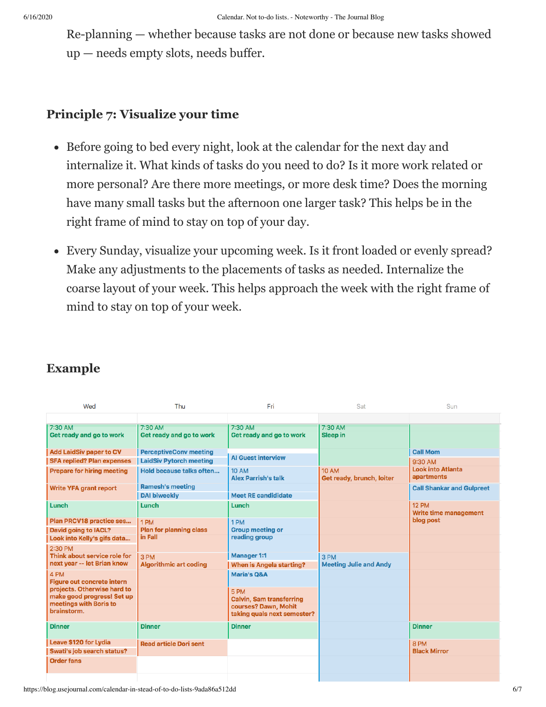Re-planning — whether because tasks are not done or because new tasks showed up — needs empty slots, needs buffer.

#### **Principle 7: Visualize your time**

- Before going to bed every night, look at the calendar for the next day and internalize it. What kinds of tasks do you need to do? Is it more work related or more personal? Are there more meetings, or more desk time? Does the morning have many small tasks but the afternoon one larger task? This helps be in the right frame of mind to stay on top of your day.
- Every Sunday, visualize your upcoming week. Is it front loaded or evenly spread? Make any adjustments to the placements of tasks as needed. Internalize the coarse layout of your week. This helps approach the week with the right frame of mind to stay on top of your week.

| Wed                                                       | Thu                            | Fri                                        | Sat                                       | Sun                                    |
|-----------------------------------------------------------|--------------------------------|--------------------------------------------|-------------------------------------------|----------------------------------------|
|                                                           |                                |                                            |                                           |                                        |
| 7:30 AM                                                   | 7:30 AM                        | 7:30 AM                                    | 7:30 AM                                   |                                        |
| Get ready and go to work                                  | Get ready and go to work       | Get ready and go to work                   | Sleep in                                  |                                        |
| <b>Add LaidSiv paper to CV</b>                            | <b>PerceptiveConv meeting</b>  |                                            |                                           | <b>Call Mom</b>                        |
| <b>SFA replied? Plan expenses</b>                         | <b>LaidSiv Pytorch meeting</b> | <b>Al Guest interview</b>                  |                                           | 9:30 AM                                |
| <b>Prepare for hiring meeting</b>                         | Hold because talks often       | <b>10 AM</b><br><b>Alex Parrish's talk</b> | <b>10 AM</b><br>Get ready, brunch, loiter | <b>Look into Atlanta</b><br>apartments |
| <b>Write YFA grant report</b>                             | <b>Ramesh's meeting</b>        |                                            |                                           | <b>Call Shankar and Gulpreet</b>       |
|                                                           | <b>DAI biweekly</b>            | <b>Meet RE candididate</b>                 |                                           |                                        |
| Lunch                                                     | Lunch                          | Lunch                                      |                                           | <b>12 PM</b><br>Write time management  |
| Plan PRCV18 practice ses                                  | 1 PM                           | 1 PM                                       |                                           | blog post                              |
| David going to IACL?                                      | <b>Plan for planning class</b> | <b>Group meeting or</b>                    |                                           |                                        |
| Look into Kelly's gifs data                               | in Fall                        | reading group                              |                                           |                                        |
| 2:30 PM                                                   |                                |                                            |                                           |                                        |
| Think about service role for                              | 3 PM                           | <b>Manager 1:1</b>                         | 3 PM                                      |                                        |
| next year -- let Brian know                               | <b>Algorithmic art coding</b>  | When is Angela starting?                   | <b>Meeting Julie and Andy</b>             |                                        |
| 4 PM<br><b>Figure out concrete intern</b>                 |                                | <b>Maria's O&amp;A</b>                     |                                           |                                        |
| projects. Otherwise hard to<br>make good progress! Set up |                                | 5 PM<br><b>Calvin, Sam transferring</b>    |                                           |                                        |
| meetings with Boris to                                    |                                | courses? Dawn, Mohit                       |                                           |                                        |
| brainstorm.                                               |                                | taking quals next semester?                |                                           |                                        |
| <b>Dinner</b>                                             | <b>Dinner</b>                  | <b>Dinner</b>                              |                                           | <b>Dinner</b>                          |
| Leave \$120 for Lydia                                     | <b>Read article Dori sent</b>  |                                            |                                           | 8 PM                                   |
| Swati's job search status?                                |                                |                                            |                                           | <b>Black Mirror</b>                    |
| <b>Order fans</b>                                         |                                |                                            |                                           |                                        |
|                                                           |                                |                                            |                                           |                                        |

## **Example**